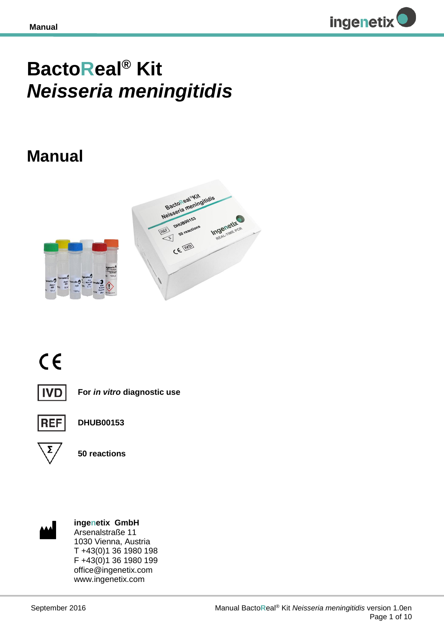

# **BactoReal® Kit**  *Neisseria meningitidis*

## **Manual**







**For** *in vitro* **diagnostic use**



**DHUB00153**



**50 reactions**



**ingenetix GmbH** Arsenalstraße 11 1030 Vienna, Austria T +43(0)1 36 1980 198 F +43(0)1 36 1980 199 office@ingenetix.com www.ingenetix.com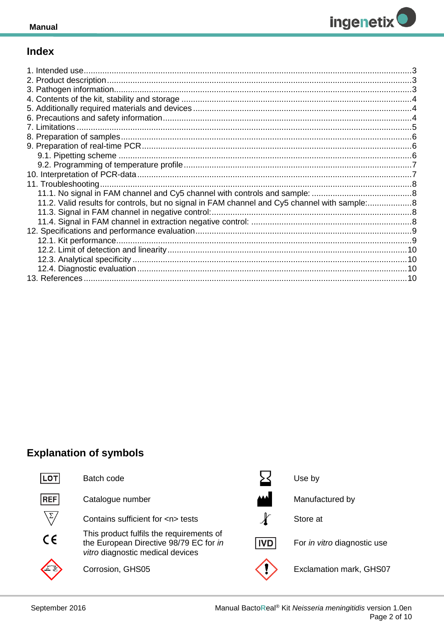

## **Index**

| 11.2. Valid results for controls, but no signal in FAM channel and Cy5 channel with sample:8 |  |
|----------------------------------------------------------------------------------------------|--|
|                                                                                              |  |
|                                                                                              |  |
|                                                                                              |  |
|                                                                                              |  |
|                                                                                              |  |
|                                                                                              |  |
|                                                                                              |  |
|                                                                                              |  |

## **Explanation of symbols**



Manual BactoReal® Kit Neisseria meningitidis version 1.0en Page 2 of 10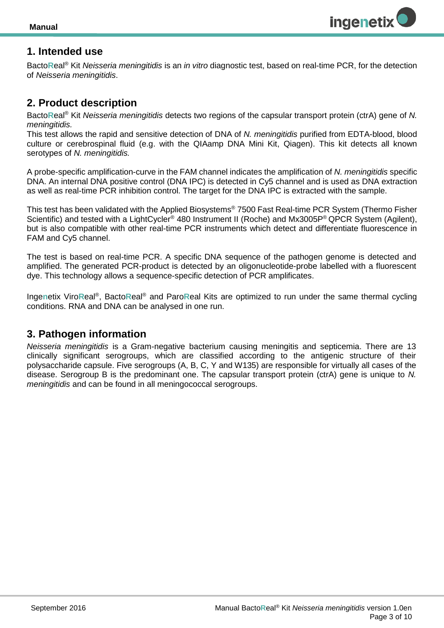

## <span id="page-2-0"></span>**1. Intended use**

Bacto**R**eal® Kit *Neisseria meningitidis* is an *in vitro* diagnostic test, based on real-time PCR, for the detection of *Neisseria meningitidis*.

#### <span id="page-2-1"></span>**2. Product description**

Bacto**R**eal® Kit *Neisseria meningitidis* detects two regions of the capsular transport protein (ctrA) gene of *N. meningitidis.*

This test allows the rapid and sensitive detection of DNA of *N. meningitidis* purified from EDTA-blood, blood culture or cerebrospinal fluid (e.g. with the QIAamp DNA Mini Kit, Qiagen). This kit detects all known serotypes of *N. meningitidis.*

A probe-specific amplification-curve in the FAM channel indicates the amplification of *N. meningitidis* specific DNA. An internal DNA positive control (DNA IPC) is detected in Cy5 channel and is used as DNA extraction as well as real-time PCR inhibition control. The target for the DNA IPC is extracted with the sample.

This test has been validated with the Applied Biosystems® 7500 Fast Real-time PCR System (Thermo Fisher Scientific) and tested with a LightCycler<sup>®</sup> 480 Instrument II (Roche) and Mx3005P<sup>®</sup> QPCR System (Agilent), but is also compatible with other real-time PCR instruments which detect and differentiate fluorescence in FAM and Cy5 channel.

The test is based on real-time PCR. A specific DNA sequence of the pathogen genome is detected and amplified. The generated PCR-product is detected by an oligonucleotide-probe labelled with a fluorescent dye. This technology allows a sequence-specific detection of PCR amplificates.

Ingenetix ViroReal<sup>®</sup>, BactoReal<sup>®</sup> and ParoReal Kits are optimized to run under the same thermal cycling conditions. RNA and DNA can be analysed in one run.

## <span id="page-2-2"></span>**3. Pathogen information**

*Neisseria meningitidis* is a Gram-negative bacterium causing meningitis and septicemia. There are 13 clinically significant serogroups, which are classified according to the antigenic structure of their polysaccharide capsule. Five serogroups (A, B, C, Y and W135) are responsible for virtually all cases of the disease. Serogroup B is the predominant one. The capsular transport protein (ctrA) gene is unique to *N. meningitidis* and can be found in all meningococcal serogroups.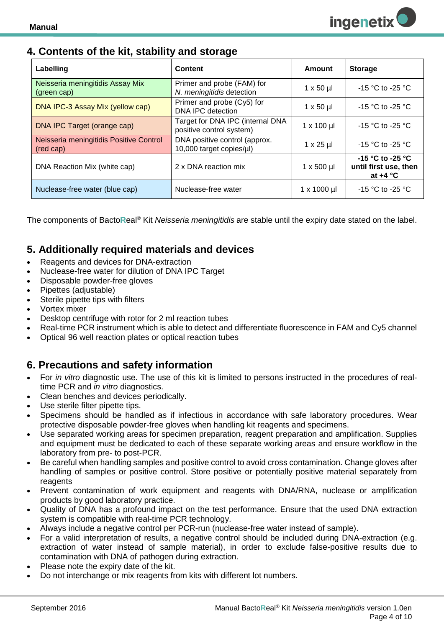## <span id="page-3-0"></span>**4. Contents of the kit, stability and storage**

| Labelling                                            | <b>Content</b>                                               | Amount                | <b>Storage</b>                                          |
|------------------------------------------------------|--------------------------------------------------------------|-----------------------|---------------------------------------------------------|
| Neisseria meningitidis Assay Mix<br>(green cap)      | Primer and probe (FAM) for<br>N. meningitidis detection      | $1 \times 50 \mu$     | $-15$ °C to $-25$ °C                                    |
| DNA IPC-3 Assay Mix (yellow cap)                     | Primer and probe (Cy5) for<br>DNA IPC detection              | $1 \times 50 \mu$     | $-15$ °C to $-25$ °C                                    |
| DNA IPC Target (orange cap)                          | Target for DNA IPC (internal DNA<br>positive control system) | $1 \times 100$ µl     | $-15$ °C to $-25$ °C                                    |
| Neisseria meningitidis Positive Control<br>(red cap) | DNA positive control (approx.<br>10,000 target copies/µl)    | $1 \times 25 \mu$     | $-15$ °C to $-25$ °C                                    |
| DNA Reaction Mix (white cap)                         | 2 x DNA reaction mix                                         | $1 \times 500$ µl     | -15 °C to -25 °C<br>until first use, then<br>at $+4 °C$ |
| Nuclease-free water (blue cap)                       | Nuclease-free water                                          | $1 \times 1000 \,\mu$ | $-15$ °C to $-25$ °C                                    |

The components of Bacto**R**eal® Kit *Neisseria meningitidis* are stable until the expiry date stated on the label.

## <span id="page-3-1"></span>**5. Additionally required materials and devices**

- Reagents and devices for DNA-extraction
- Nuclease-free water for dilution of DNA IPC Target
- Disposable powder-free gloves
- Pipettes (adjustable)
- Sterile pipette tips with filters
- Vortex mixer
- Desktop centrifuge with rotor for 2 ml reaction tubes
- Real-time PCR instrument which is able to detect and differentiate fluorescence in FAM and Cy5 channel
- Optical 96 well reaction plates or optical reaction tubes

## <span id="page-3-2"></span>**6. Precautions and safety information**

- For *in vitro* diagnostic use. The use of this kit is limited to persons instructed in the procedures of realtime PCR and *in vitro* diagnostics.
- Clean benches and devices periodically.
- Use sterile filter pipette tips.
- Specimens should be handled as if infectious in accordance with safe laboratory procedures. Wear protective disposable powder-free gloves when handling kit reagents and specimens.
- Use separated working areas for specimen preparation, reagent preparation and amplification. Supplies and equipment must be dedicated to each of these separate working areas and ensure workflow in the laboratory from pre- to post-PCR.
- Be careful when handling samples and positive control to avoid cross contamination. Change gloves after handling of samples or positive control. Store positive or potentially positive material separately from reagents
- Prevent contamination of work equipment and reagents with DNA/RNA, nuclease or amplification products by good laboratory practice.
- Quality of DNA has a profound impact on the test performance. Ensure that the used DNA extraction system is compatible with real-time PCR technology.
- Always include a negative control per PCR-run (nuclease-free water instead of sample).
- For a valid interpretation of results, a negative control should be included during DNA-extraction (e.g. extraction of water instead of sample material), in order to exclude false-positive results due to contamination with DNA of pathogen during extraction.
- Please note the expiry date of the kit.
- Do not interchange or mix reagents from kits with different lot numbers.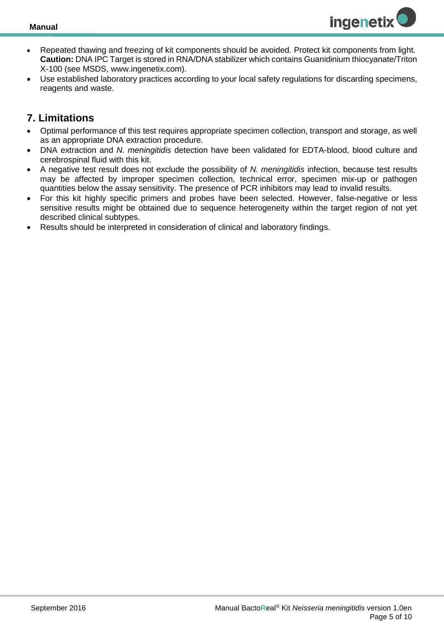

- Repeated thawing and freezing of kit components should be avoided. Protect kit components from light. **Caution:** DNA IPC Target is stored in RNA/DNA stabilizer which contains Guanidinium thiocyanate/Triton X-100 (see MSDS, www.ingenetix.com).
- Use established laboratory practices according to your local safety regulations for discarding specimens, reagents and waste.

## <span id="page-4-0"></span>**7. Limitations**

- Optimal performance of this test requires appropriate specimen collection, transport and storage, as well as an appropriate DNA extraction procedure.
- DNA extraction and *N. meningitidis* detection have been validated for EDTA-blood, blood culture and cerebrospinal fluid with this kit.
- A negative test result does not exclude the possibility of *N. meningitidis* infection, because test results may be affected by improper specimen collection, technical error, specimen mix-up or pathogen quantities below the assay sensitivity. The presence of PCR inhibitors may lead to invalid results.
- For this kit highly specific primers and probes have been selected. However, false-negative or less sensitive results might be obtained due to sequence heterogeneity within the target region of not yet described clinical subtypes.
- Results should be interpreted in consideration of clinical and laboratory findings.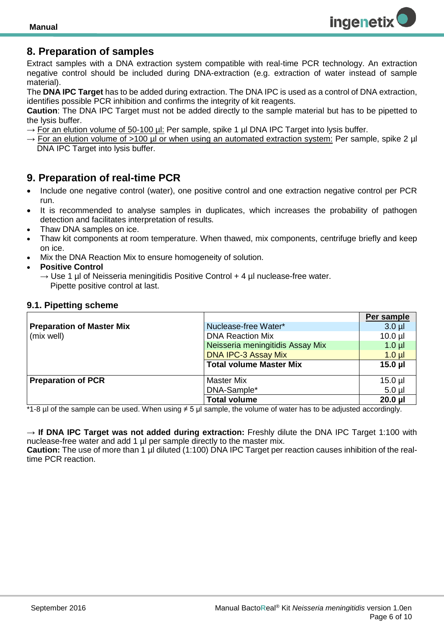

## <span id="page-5-0"></span>**8. Preparation of samples**

Extract samples with a DNA extraction system compatible with real-time PCR technology. An extraction negative control should be included during DNA-extraction (e.g. extraction of water instead of sample material).

The **DNA IPC Target** has to be added during extraction. The DNA IPC is used as a control of DNA extraction, identifies possible PCR inhibition and confirms the integrity of kit reagents.

**Caution**: The DNA IPC Target must not be added directly to the sample material but has to be pipetted to the lysis buffer.

- $\rightarrow$  For an elution volume of 50-100 µl: Per sample, spike 1 µl DNA IPC Target into lysis buffer.
- $\rightarrow$  For an elution volume of >100 µl or when using an automated extraction system: Per sample, spike 2 µl DNA IPC Target into lysis buffer.

## <span id="page-5-1"></span>**9. Preparation of real-time PCR**

- Include one negative control (water), one positive control and one extraction negative control per PCR run.
- It is recommended to analyse samples in duplicates, which increases the probability of pathogen detection and facilitates interpretation of results*.*
- Thaw DNA samples on ice.
- Thaw kit components at room temperature. When thawed, mix components, centrifuge briefly and keep on ice.
- Mix the DNA Reaction Mix to ensure homogeneity of solution.
- **Positive Control**
	- $\rightarrow$  Use 1 µ of Neisseria meningitidis Positive Control + 4 µ nuclease-free water. Pipette positive control at last.

#### <span id="page-5-2"></span>**9.1. Pipetting scheme**

|                                  |                                  | Per sample   |
|----------------------------------|----------------------------------|--------------|
| <b>Preparation of Master Mix</b> | Nuclease-free Water*             | $3.0$ $\mu$  |
| (mix well)                       | <b>DNA Reaction Mix</b>          | $10.0$ $\mu$ |
|                                  | Neisseria meningitidis Assay Mix | $1.0 \mu$    |
|                                  | <b>DNA IPC-3 Assay Mix</b>       | $1.0 \mu$    |
|                                  | <b>Total volume Master Mix</b>   | $15.0$ µl    |
|                                  |                                  |              |
| <b>Preparation of PCR</b>        | <b>Master Mix</b>                | $15.0$ $\mu$ |
|                                  | DNA-Sample*                      | $5.0 \mu$    |
|                                  | <b>Total volume</b>              | $20.0$ µl    |

\*1-8 µl of the sample can be used. When using ≠ 5 µl sample, the volume of water has to be adjusted accordingly.

→ **If DNA IPC Target was not added during extraction:** Freshly dilute the DNA IPC Target 1:100 with nuclease-free water and add 1 µl per sample directly to the master mix.

**Caution:** The use of more than 1 µl diluted (1:100) DNA IPC Target per reaction causes inhibition of the realtime PCR reaction.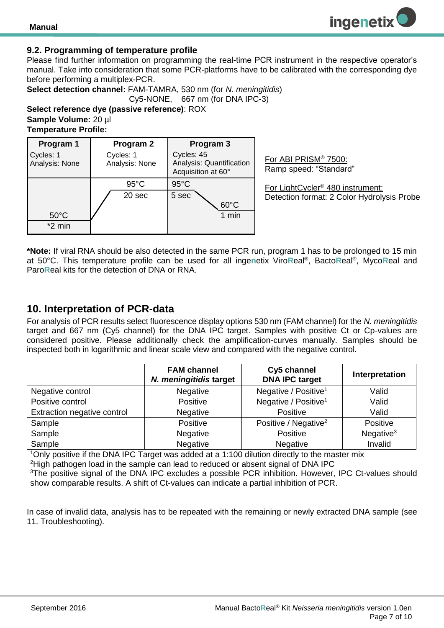#### <span id="page-6-0"></span>**9.2. Programming of temperature profile**

Please find further information on programming the real-time PCR instrument in the respective operator's manual. Take into consideration that some PCR-platforms have to be calibrated with the corresponding dye before performing a multiplex-PCR.

**Select detection channel:** FAM-TAMRA, 530 nm (for *N. meningitidis*) Cy5-NONE, 667 nm (for DNA IPC-3)

**Select reference dye (passive reference)**: ROX **Sample Volume:** 20 µl **Temperature Profile:** 

| Program 1                   | Program 2                   | Program 3                                                    |
|-----------------------------|-----------------------------|--------------------------------------------------------------|
| Cycles: 1<br>Analysis: None | Cycles: 1<br>Analysis: None | Cycles: 45<br>Analysis: Quantification<br>Acquisition at 60° |
|                             | $95^{\circ}$ C              | $95^{\circ}$ C                                               |
|                             | 20 sec                      | 5 sec                                                        |
|                             |                             | $60^{\circ}$ C                                               |
| $50^{\circ}$ C              |                             | 1 min                                                        |
| $*2$ min                    |                             |                                                              |

For ABI PRISM® 7500: Ramp speed: "Standard"

For LightCycler® 480 instrument: Detection format: 2 Color Hydrolysis Probe

**ingenetix** 

**\*Note:** If viral RNA should be also detected in the same PCR run, program 1 has to be prolonged to 15 min at 50°C. This temperature profile can be used for all inge**n**etix Viro**R**eal® , Bacto**R**eal® , Myco**R**eal and Paro**R**eal kits for the detection of DNA or RNA.

#### <span id="page-6-1"></span>**10. Interpretation of PCR-data**

For analysis of PCR results select fluorescence display options 530 nm (FAM channel) for the *N. meningitidis* target and 667 nm (Cy5 channel) for the DNA IPC target. Samples with positive Ct or Cp-values are considered positive. Please additionally check the amplification-curves manually. Samples should be inspected both in logarithmic and linear scale view and compared with the negative control.

|                             | <b>FAM channel</b><br>N. meningitidis target | Cy5 channel<br><b>DNA IPC target</b> | Interpretation |
|-----------------------------|----------------------------------------------|--------------------------------------|----------------|
| Negative control            | Negative                                     | Negative / Positive <sup>1</sup>     | Valid          |
| Positive control            | Positive                                     | Negative / Positive <sup>1</sup>     | Valid          |
| Extraction negative control | Negative                                     | Positive                             | Valid          |
| Sample                      | Positive                                     | Positive / Negative <sup>2</sup>     | Positive       |
| Sample                      | Negative                                     | Positive                             | Negative $3$   |
| Sample                      | Negative                                     | Negative                             | Invalid        |

<sup>1</sup>Only positive if the DNA IPC Target was added at a 1:100 dilution directly to the master mix

<sup>2</sup>High pathogen load in the sample can lead to reduced or absent signal of DNA IPC

<sup>3</sup>The positive signal of the DNA IPC excludes a possible PCR inhibition. However, IPC Ct-values should show comparable results. A shift of Ct-values can indicate a partial inhibition of PCR.

In case of invalid data, analysis has to be repeated with the remaining or newly extracted DNA sample (see 11. Troubleshooting).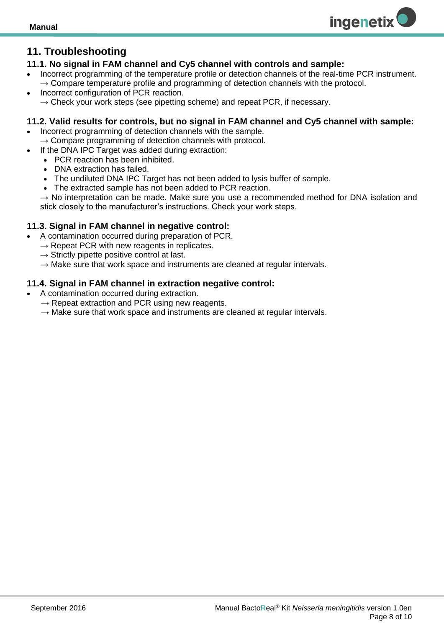## <span id="page-7-0"></span>**11. Troubleshooting**

#### <span id="page-7-1"></span>**11.1. No signal in FAM channel and Cy5 channel with controls and sample:**

 Incorrect programming of the temperature profile or detection channels of the real-time PCR instrument.  $\rightarrow$  Compare temperature profile and programming of detection channels with the protocol.

**ingenetix** 

 Incorrect configuration of PCR reaction.  $\rightarrow$  Check your work steps (see pipetting scheme) and repeat PCR, if necessary.

#### <span id="page-7-2"></span>**11.2. Valid results for controls, but no signal in FAM channel and Cy5 channel with sample:**

- Incorrect programming of detection channels with the sample.  $\rightarrow$  Compare programming of detection channels with protocol.
- If the DNA IPC Target was added during extraction:
	- PCR reaction has been inhibited.
	- DNA extraction has failed.
	- The undiluted DNA IPC Target has not been added to lysis buffer of sample.
	- The extracted sample has not been added to PCR reaction.

 $\rightarrow$  No interpretation can be made. Make sure you use a recommended method for DNA isolation and stick closely to the manufacturer's instructions. Check your work steps.

#### <span id="page-7-3"></span>**11.3. Signal in FAM channel in negative control:**

- A contamination occurred during preparation of PCR.
	- $\rightarrow$  Repeat PCR with new reagents in replicates.
	- $\rightarrow$  Strictly pipette positive control at last.
	- $\rightarrow$  Make sure that work space and instruments are cleaned at regular intervals.

#### <span id="page-7-4"></span>**11.4. Signal in FAM channel in extraction negative control:**

- A contamination occurred during extraction.
	- $\rightarrow$  Repeat extraction and PCR using new reagents.
	- $\rightarrow$  Make sure that work space and instruments are cleaned at regular intervals.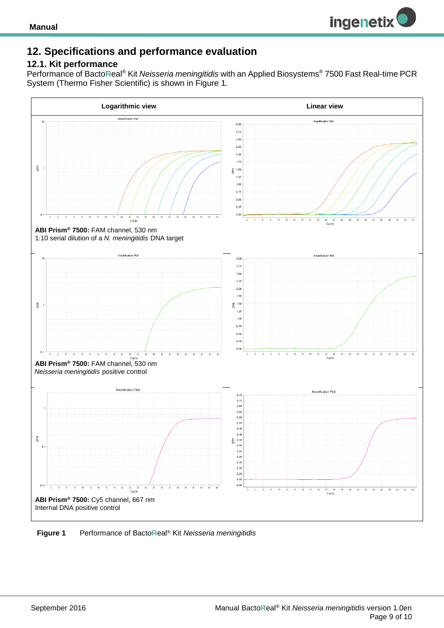

## <span id="page-8-0"></span>**12. Specifications and performance evaluation**

#### <span id="page-8-1"></span>**12.1. Kit performance**

Performance of Bacto**R**eal® Kit *Neisseria meningitidis* with an Applied Biosystems® 7500 Fast Real-time PCR System (Thermo Fisher Scientific) is shown in Figure 1.



**Figure 1** Performance of Bacto**R**eal® Kit *Neisseria meningitidis*